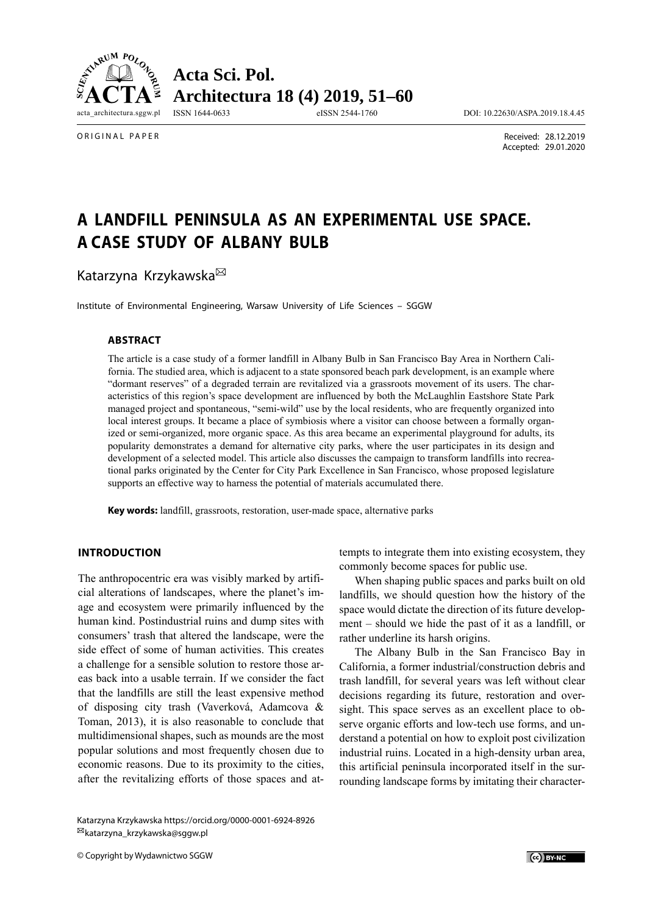

ORIGINAL PAPER

 Received: 28.12.2019 Accepted: 29.01.2020

# **A LANDFILL PENINSULA AS AN EXPERIMENTAL USE SPACE. A CASE STUDY OF ALBANY BULB**

Katarzyna Krzykawska<sup>⊠</sup>

Institute of Environmental Engineering, Warsaw University of Life Sciences – SGGW

#### **ABSTRACT**

The article is a case study of a former landfill in Albany Bulb in San Francisco Bay Area in Northern California. The studied area, which is adjacent to a state sponsored beach park development, is an example where "dormant reserves" of a degraded terrain are revitalized via a grassroots movement of its users. The characteristics of this region's space development are influenced by both the McLaughlin Eastshore State Park managed project and spontaneous, "semi-wild" use by the local residents, who are frequently organized into local interest groups. It became a place of symbiosis where a visitor can choose between a formally organized or semi-organized, more organic space. As this area became an experimental playground for adults, its popularity demonstrates a demand for alternative city parks, where the user participates in its design and development of a selected model. This article also discusses the campaign to transform landfills into recreational parks originated by the Center for City Park Excellence in San Francisco, whose proposed legislature supports an effective way to harness the potential of materials accumulated there.

**Key words:** landfill, grassroots, restoration, user-made space, alternative parks

## **INTRODUCTION**

The anthropocentric era was visibly marked by artificial alterations of landscapes, where the planet's image and ecosystem were primarily influenced by the human kind. Postindustrial ruins and dump sites with consumers' trash that altered the landscape, were the side effect of some of human activities. This creates a challenge for a sensible solution to restore those areas back into a usable terrain. If we consider the fact that the landfills are still the least expensive method of disposing city trash (Vaverková, Adamcova & Toman, 2013), it is also reasonable to conclude that multidimensional shapes, such as mounds are the most popular solutions and most frequently chosen due to economic reasons. Due to its proximity to the cities, after the revitalizing efforts of those spaces and at-

Katarzyna Krzykawska https://orcid.org/0000-0001-6924-8926 katarzyna\_krzykawska@sggw.pl

© Copyright by Wydawnictwo SGGW

tempts to integrate them into existing ecosystem, they commonly become spaces for public use.

When shaping public spaces and parks built on old landfills, we should question how the history of the space would dictate the direction of its future development – should we hide the past of it as a landfill, or rather underline its harsh origins.

The Albany Bulb in the San Francisco Bay in California, a former industrial/construction debris and trash landfill, for several years was left without clear decisions regarding its future, restoration and oversight. This space serves as an excellent place to observe organic efforts and low-tech use forms, and understand a potential on how to exploit post civilization industrial ruins. Located in a high-density urban area, this artificial peninsula incorporated itself in the surrounding landscape forms by imitating their character-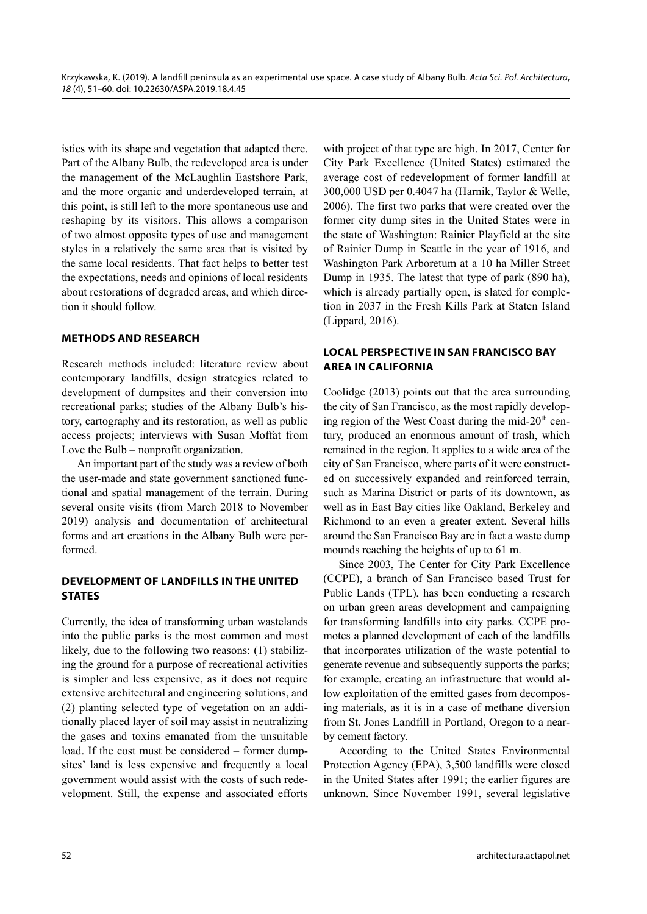istics with its shape and vegetation that adapted there. Part of the Albany Bulb, the redeveloped area is under the management of the McLaughlin Eastshore Park, and the more organic and underdeveloped terrain, at this point, is still left to the more spontaneous use and reshaping by its visitors. This allows a comparison of two almost opposite types of use and management styles in a relatively the same area that is visited by the same local residents. That fact helps to better test the expectations, needs and opinions of local residents about restorations of degraded areas, and which direction it should follow.

## **METHODS AND RESEARCH**

Research methods included: literature review about contemporary landfills, design strategies related to development of dumpsites and their conversion into recreational parks; studies of the Albany Bulb's history, cartography and its restoration, as well as public access projects; interviews with Susan Moffat from Love the Bulb – nonprofit organization.

An important part of the study was a review of both the user-made and state government sanctioned functional and spatial management of the terrain. During several onsite visits (from March 2018 to November 2019) analysis and documentation of architectural forms and art creations in the Albany Bulb were performed.

## **DEVELOPMENT OF LANDFILLS IN THE UNITED STATES**

Currently, the idea of transforming urban wastelands into the public parks is the most common and most likely, due to the following two reasons: (1) stabilizing the ground for a purpose of recreational activities is simpler and less expensive, as it does not require extensive architectural and engineering solutions, and (2) planting selected type of vegetation on an additionally placed layer of soil may assist in neutralizing the gases and toxins emanated from the unsuitable load. If the cost must be considered – former dumpsites' land is less expensive and frequently a local government would assist with the costs of such redevelopment. Still, the expense and associated efforts with project of that type are high. In 2017, Center for City Park Excellence (United States) estimated the average cost of redevelopment of former landfill at 300,000 USD per 0.4047 ha (Harnik, Taylor & Welle, 2006). The first two parks that were created over the former city dump sites in the United States were in the state of Washington: Rainier Playfield at the site of Rainier Dump in Seattle in the year of 1916, and Washington Park Arboretum at a 10 ha Miller Street Dump in 1935. The latest that type of park (890 ha), which is already partially open, is slated for completion in 2037 in the Fresh Kills Park at Staten Island (Lippard, 2016).

## **LOCAL PERSPECTIVE IN SAN FRANCISCO BAY AREA IN CALIFORNIA**

Coolidge (2013) points out that the area surrounding the city of San Francisco, as the most rapidly developing region of the West Coast during the mid-20<sup>th</sup> century, produced an enormous amount of trash, which remained in the region. It applies to a wide area of the city of San Francisco, where parts of it were constructed on successively expanded and reinforced terrain, such as Marina District or parts of its downtown, as well as in East Bay cities like Oakland, Berkeley and Richmond to an even a greater extent. Several hills around the San Francisco Bay are in fact a waste dump mounds reaching the heights of up to 61 m.

Since 2003, The Center for City Park Excellence (CCPE), a branch of San Francisco based Trust for Public Lands (TPL), has been conducting a research on urban green areas development and campaigning for transforming landfills into city parks. CCPE promotes a planned development of each of the landfills that incorporates utilization of the waste potential to generate revenue and subsequently supports the parks; for example, creating an infrastructure that would allow exploitation of the emitted gases from decomposing materials, as it is in a case of methane diversion from St. Jones Landfill in Portland, Oregon to a nearby cement factory.

According to the United States Environmental Protection Agency (EPA), 3,500 landfills were closed in the United States after 1991; the earlier figures are unknown. Since November 1991, several legislative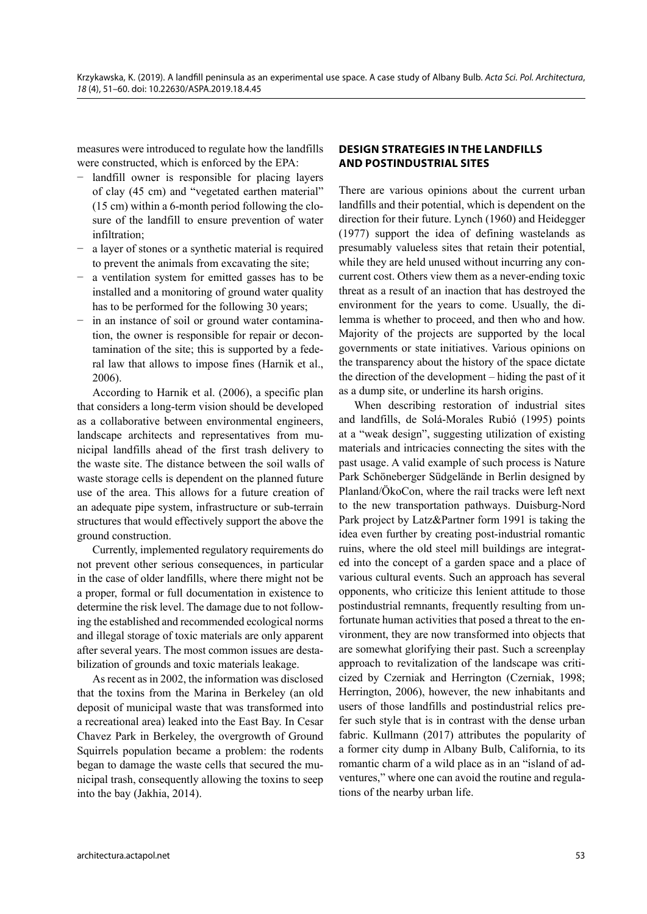measures were introduced to regulate how the landfills were constructed, which is enforced by the EPA:

- − landfill owner is responsible for placing layers of clay (45 cm) and "vegetated earthen material" (15 cm) within a 6-month period following the closure of the landfill to ensure prevention of water infiltration;
- a layer of stones or a synthetic material is required to prevent the animals from excavating the site;
- a ventilation system for emitted gasses has to be installed and a monitoring of ground water quality has to be performed for the following 30 years;
- in an instance of soil or ground water contamination, the owner is responsible for repair or decontamination of the site; this is supported by a federal law that allows to impose fines (Harnik et al., 2006).

According to Harnik et al. (2006), a specific plan that considers a long-term vision should be developed as a collaborative between environmental engineers, landscape architects and representatives from municipal landfills ahead of the first trash delivery to the waste site. The distance between the soil walls of waste storage cells is dependent on the planned future use of the area. This allows for a future creation of an adequate pipe system, infrastructure or sub-terrain structures that would effectively support the above the ground construction.

Currently, implemented regulatory requirements do not prevent other serious consequences, in particular in the case of older landfills, where there might not be a proper, formal or full documentation in existence to determine the risk level. The damage due to not following the established and recommended ecological norms and illegal storage of toxic materials are only apparent after several years. The most common issues are destabilization of grounds and toxic materials leakage.

As recent as in 2002, the information was disclosed that the toxins from the Marina in Berkeley (an old deposit of municipal waste that was transformed into a recreational area) leaked into the East Bay. In Cesar Chavez Park in Berkeley, the overgrowth of Ground Squirrels population became a problem: the rodents began to damage the waste cells that secured the municipal trash, consequently allowing the toxins to seep into the bay (Jakhia, 2014).

# **DESIGN STRATEGIES IN THE LANDFILLS AND POSTINDUSTRIAL SITES**

There are various opinions about the current urban landfills and their potential, which is dependent on the direction for their future. Lynch (1960) and Heidegger (1977) support the idea of defining wastelands as presumably valueless sites that retain their potential, while they are held unused without incurring any concurrent cost. Others view them as a never-ending toxic threat as a result of an inaction that has destroyed the environment for the years to come. Usually, the dilemma is whether to proceed, and then who and how. Majority of the projects are supported by the local governments or state initiatives. Various opinions on the transparency about the history of the space dictate the direction of the development – hiding the past of it as a dump site, or underline its harsh origins.

When describing restoration of industrial sites and landfills, de Solá-Morales Rubió (1995) points at a "weak design", suggesting utilization of existing materials and intricacies connecting the sites with the past usage. A valid example of such process is Nature Park Schöneberger Südgelände in Berlin designed by Planland/ÖkoCon, where the rail tracks were left next to the new transportation pathways. Duisburg-Nord Park project by Latz&Partner form 1991 is taking the idea even further by creating post-industrial romantic ruins, where the old steel mill buildings are integrated into the concept of a garden space and a place of various cultural events. Such an approach has several opponents, who criticize this lenient attitude to those postindustrial remnants, frequently resulting from unfortunate human activities that posed a threat to the environment, they are now transformed into objects that are somewhat glorifying their past. Such a screenplay approach to revitalization of the landscape was criticized by Czerniak and Herrington (Czerniak, 1998; Herrington, 2006), however, the new inhabitants and users of those landfills and postindustrial relics prefer such style that is in contrast with the dense urban fabric. Kullmann (2017) attributes the popularity of a former city dump in Albany Bulb, California, to its romantic charm of a wild place as in an "island of adventures," where one can avoid the routine and regulations of the nearby urban life.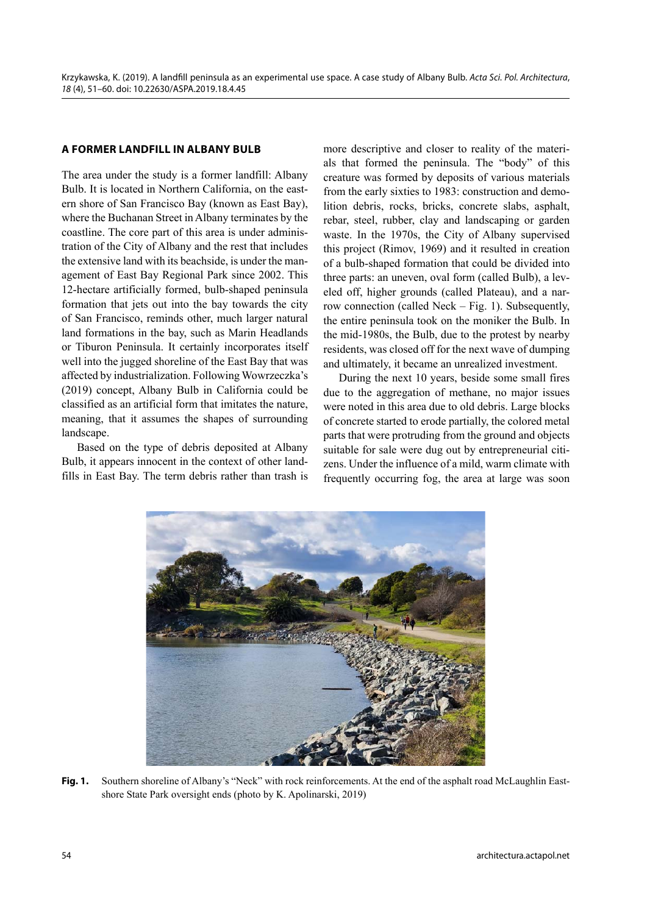## **A FORMER LANDFILL IN ALBANY BULB**

The area under the study is a former landfill: Albany Bulb. It is located in Northern California, on the eastern shore of San Francisco Bay (known as East Bay), where the Buchanan Street in Albany terminates by the coastline. The core part of this area is under administration of the City of Albany and the rest that includes the extensive land with its beachside, is under the management of East Bay Regional Park since 2002. This 12-hectare artificially formed, bulb-shaped peninsula formation that jets out into the bay towards the city of San Francisco, reminds other, much larger natural land formations in the bay, such as Marin Headlands or Tiburon Peninsula. It certainly incorporates itself well into the jugged shoreline of the East Bay that was affected by industrialization. Following Wowrzeczka's (2019) concept, Albany Bulb in California could be classified as an artificial form that imitates the nature, meaning, that it assumes the shapes of surrounding landscape.

Based on the type of debris deposited at Albany Bulb, it appears innocent in the context of other landfills in East Bay. The term debris rather than trash is more descriptive and closer to reality of the materials that formed the peninsula. The "body" of this creature was formed by deposits of various materials from the early sixties to 1983: construction and demolition debris, rocks, bricks, concrete slabs, asphalt, rebar, steel, rubber, clay and landscaping or garden waste. In the 1970s, the City of Albany supervised this project (Rimov, 1969) and it resulted in creation of a bulb-shaped formation that could be divided into three parts: an uneven, oval form (called Bulb), a leveled off, higher grounds (called Plateau), and a narrow connection (called Neck – Fig. 1). Subsequently, the entire peninsula took on the moniker the Bulb. In the mid-1980s, the Bulb, due to the protest by nearby residents, was closed off for the next wave of dumping and ultimately, it became an unrealized investment.

During the next 10 years, beside some small fires due to the aggregation of methane, no major issues were noted in this area due to old debris. Large blocks of concrete started to erode partially, the colored metal parts that were protruding from the ground and objects suitable for sale were dug out by entrepreneurial citizens. Under the influence of a mild, warm climate with frequently occurring fog, the area at large was soon



Fig. 1. Southern shoreline of Albany's "Neck" with rock reinforcements. At the end of the asphalt road McLaughlin Eastshore State Park oversight ends (photo by K. Apolinarski, 2019)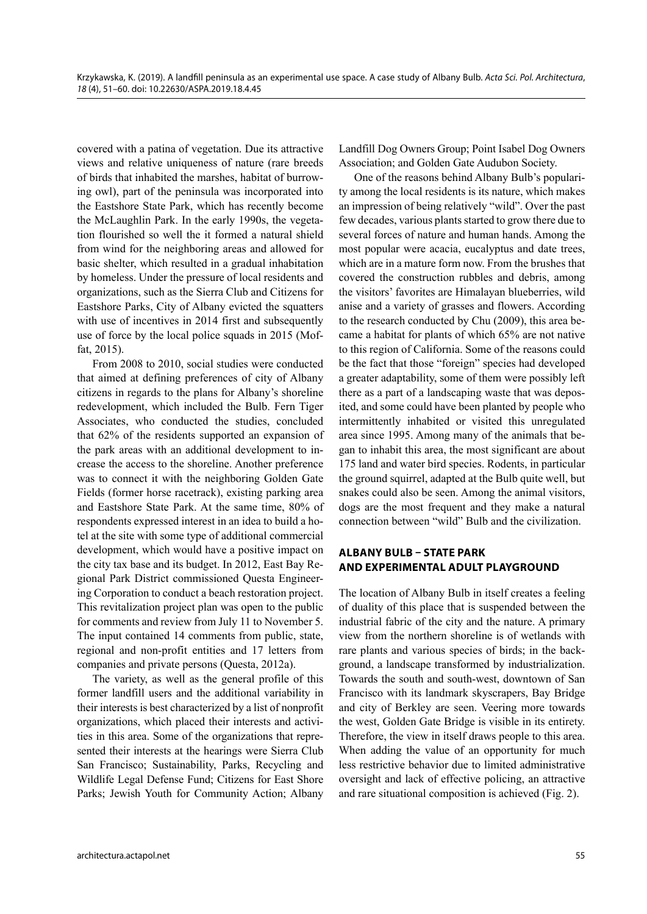covered with a patina of vegetation. Due its attractive views and relative uniqueness of nature (rare breeds of birds that inhabited the marshes, habitat of burrowing owl), part of the peninsula was incorporated into the Eastshore State Park, which has recently become the McLaughlin Park. In the early 1990s, the vegetation flourished so well the it formed a natural shield from wind for the neighboring areas and allowed for basic shelter, which resulted in a gradual inhabitation by homeless. Under the pressure of local residents and organizations, such as the Sierra Club and Citizens for Eastshore Parks, City of Albany evicted the squatters with use of incentives in 2014 first and subsequently use of force by the local police squads in 2015 (Moffat, 2015).

From 2008 to 2010, social studies were conducted that aimed at defining preferences of city of Albany citizens in regards to the plans for Albany's shoreline redevelopment, which included the Bulb. Fern Tiger Associates, who conducted the studies, concluded that 62% of the residents supported an expansion of the park areas with an additional development to increase the access to the shoreline. Another preference was to connect it with the neighboring Golden Gate Fields (former horse racetrack), existing parking area and Eastshore State Park. At the same time, 80% of respondents expressed interest in an idea to build a hotel at the site with some type of additional commercial development, which would have a positive impact on the city tax base and its budget. In 2012, East Bay Regional Park District commissioned Questa Engineering Corporation to conduct a beach restoration project. This revitalization project plan was open to the public for comments and review from July 11 to November 5. The input contained 14 comments from public, state, regional and non-profit entities and 17 letters from companies and private persons (Questa, 2012a).

The variety, as well as the general profile of this former landfill users and the additional variability in their interests is best characterized by a list of nonprofit organizations, which placed their interests and activities in this area. Some of the organizations that represented their interests at the hearings were Sierra Club San Francisco; Sustainability, Parks, Recycling and Wildlife Legal Defense Fund; Citizens for East Shore Parks; Jewish Youth for Community Action; Albany Landfill Dog Owners Group; Point Isabel Dog Owners Association; and Golden Gate Audubon Society.

One of the reasons behind Albany Bulb's popularity among the local residents is its nature, which makes an impression of being relatively "wild". Over the past few decades, various plants started to grow there due to several forces of nature and human hands. Among the most popular were acacia, eucalyptus and date trees, which are in a mature form now. From the brushes that covered the construction rubbles and debris, among the visitors' favorites are Himalayan blueberries, wild anise and a variety of grasses and flowers. According to the research conducted by Chu (2009), this area became a habitat for plants of which 65% are not native to this region of California. Some of the reasons could be the fact that those "foreign" species had developed a greater adaptability, some of them were possibly left there as a part of a landscaping waste that was deposited, and some could have been planted by people who intermittently inhabited or visited this unregulated area since 1995. Among many of the animals that began to inhabit this area, the most significant are about 175 land and water bird species. Rodents, in particular the ground squirrel, adapted at the Bulb quite well, but snakes could also be seen. Among the animal visitors, dogs are the most frequent and they make a natural connection between "wild" Bulb and the civilization.

# **ALBANY BULB – STATE PARK AND EXPERIMENTAL ADULT PLAYGROUND**

The location of Albany Bulb in itself creates a feeling of duality of this place that is suspended between the industrial fabric of the city and the nature. A primary view from the northern shoreline is of wetlands with rare plants and various species of birds; in the background, a landscape transformed by industrialization. Towards the south and south-west, downtown of San Francisco with its landmark skyscrapers, Bay Bridge and city of Berkley are seen. Veering more towards the west, Golden Gate Bridge is visible in its entirety. Therefore, the view in itself draws people to this area. When adding the value of an opportunity for much less restrictive behavior due to limited administrative oversight and lack of effective policing, an attractive and rare situational composition is achieved (Fig. 2).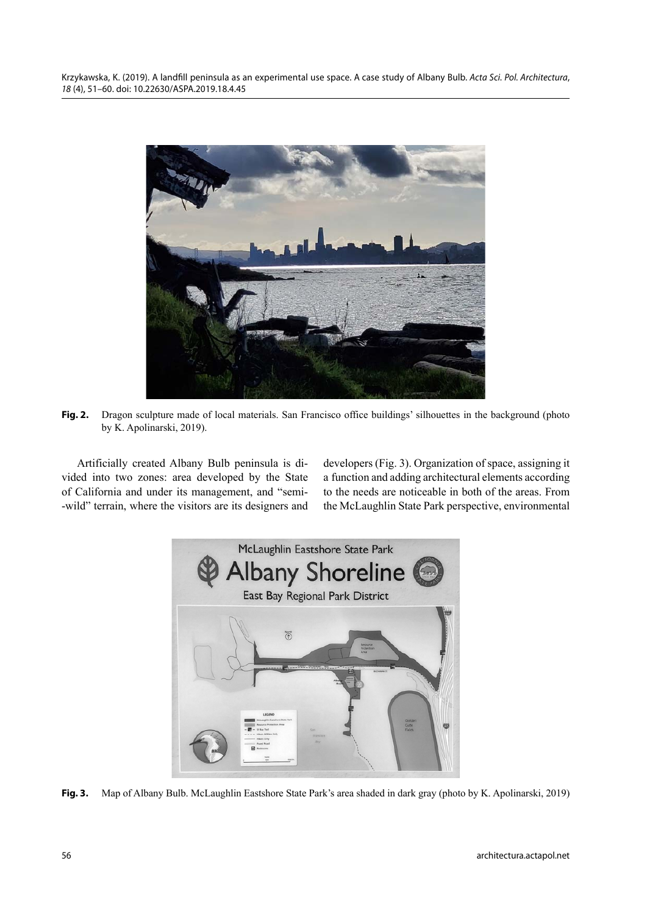Krzykawska, K. (2019). A landfill peninsula as an experimental use space. A case study of Albany Bulb. Acta Sci. Pol. Architectura, 18 (4), 51–60. doi: 10.22630/ASPA.2019.18.4.45



**Fig. 2.** Dragon sculpture made of local materials. San Francisco office buildings' silhouettes in the background (photo by K. Apolinarski, 2019).

Artificially created Albany Bulb peninsula is divided into two zones: area developed by the State of California and under its management, and "semi- -wild" terrain, where the visitors are its designers and developers (Fig. 3). Organization of space, assigning it a function and adding architectural elements according to the needs are noticeable in both of the areas. From the McLaughlin State Park perspective, environmental



**Fig. 3.** Map of Albany Bulb. McLaughlin Eastshore State Park's area shaded in dark gray (photo by K. Apolinarski, 2019)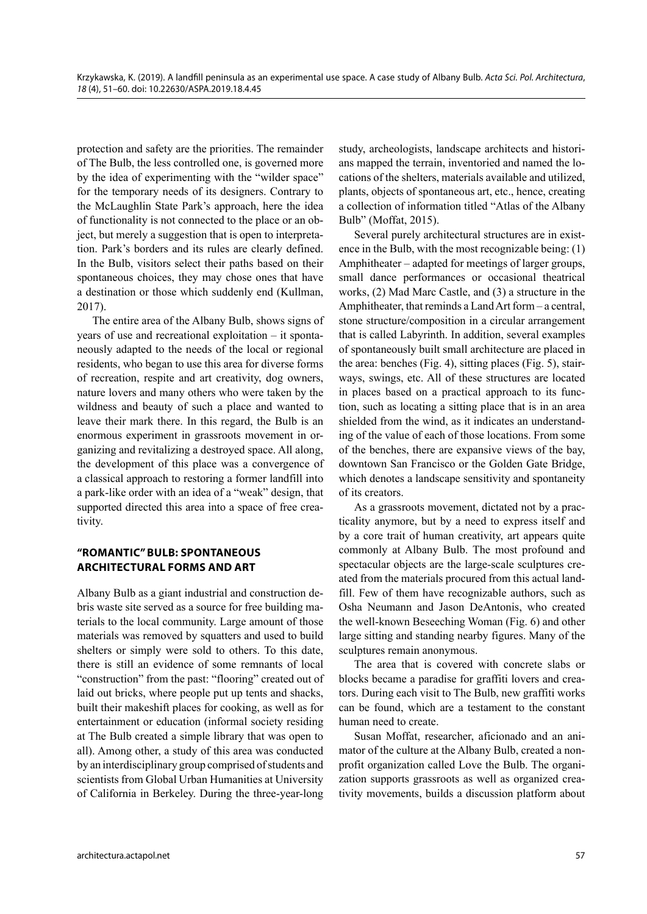protection and safety are the priorities. The remainder of The Bulb, the less controlled one, is governed more by the idea of experimenting with the "wilder space" for the temporary needs of its designers. Contrary to the McLaughlin State Park's approach, here the idea of functionality is not connected to the place or an object, but merely a suggestion that is open to interpretation. Park's borders and its rules are clearly defined. In the Bulb, visitors select their paths based on their spontaneous choices, they may chose ones that have a destination or those which suddenly end (Kullman, 2017).

The entire area of the Albany Bulb, shows signs of years of use and recreational exploitation – it spontaneously adapted to the needs of the local or regional residents, who began to use this area for diverse forms of recreation, respite and art creativity, dog owners, nature lovers and many others who were taken by the wildness and beauty of such a place and wanted to leave their mark there. In this regard, the Bulb is an enormous experiment in grassroots movement in organizing and revitalizing a destroyed space. All along, the development of this place was a convergence of a classical approach to restoring a former landfill into a park-like order with an idea of a "weak" design, that supported directed this area into a space of free creativity.

# **"ROMANTIC" BULB: SPONTANEOUS ARCHITECTURAL FORMS AND ART**

Albany Bulb as a giant industrial and construction debris waste site served as a source for free building materials to the local community. Large amount of those materials was removed by squatters and used to build shelters or simply were sold to others. To this date, there is still an evidence of some remnants of local "construction" from the past: "flooring" created out of laid out bricks, where people put up tents and shacks, built their makeshift places for cooking, as well as for entertainment or education (informal society residing at The Bulb created a simple library that was open to all). Among other, a study of this area was conducted by an interdisciplinary group comprised of students and scientists from Global Urban Humanities at University of California in Berkeley. During the three-year-long study, archeologists, landscape architects and historians mapped the terrain, inventoried and named the locations of the shelters, materials available and utilized, plants, objects of spontaneous art, etc., hence, creating a collection of information titled "Atlas of the Albany Bulb" (Moffat, 2015).

Several purely architectural structures are in existence in the Bulb, with the most recognizable being: (1) Amphitheater – adapted for meetings of larger groups, small dance performances or occasional theatrical works, (2) Mad Marc Castle, and (3) a structure in the Amphitheater, that reminds a Land Art form – a central, stone structure/composition in a circular arrangement that is called Labyrinth. In addition, several examples of spontaneously built small architecture are placed in the area: benches (Fig. 4), sitting places (Fig. 5), stairways, swings, etc. All of these structures are located in places based on a practical approach to its function, such as locating a sitting place that is in an area shielded from the wind, as it indicates an understanding of the value of each of those locations. From some of the benches, there are expansive views of the bay, downtown San Francisco or the Golden Gate Bridge, which denotes a landscape sensitivity and spontaneity of its creators.

As a grassroots movement, dictated not by a practicality anymore, but by a need to express itself and by a core trait of human creativity, art appears quite commonly at Albany Bulb. The most profound and spectacular objects are the large-scale sculptures created from the materials procured from this actual landfill. Few of them have recognizable authors, such as Osha Neumann and Jason DeAntonis, who created the well-known Beseeching Woman (Fig. 6) and other large sitting and standing nearby figures. Many of the sculptures remain anonymous.

The area that is covered with concrete slabs or blocks became a paradise for graffiti lovers and creators. During each visit to The Bulb, new graffiti works can be found, which are a testament to the constant human need to create.

Susan Moffat, researcher, aficionado and an animator of the culture at the Albany Bulb, created a nonprofit organization called Love the Bulb. The organization supports grassroots as well as organized creativity movements, builds a discussion platform about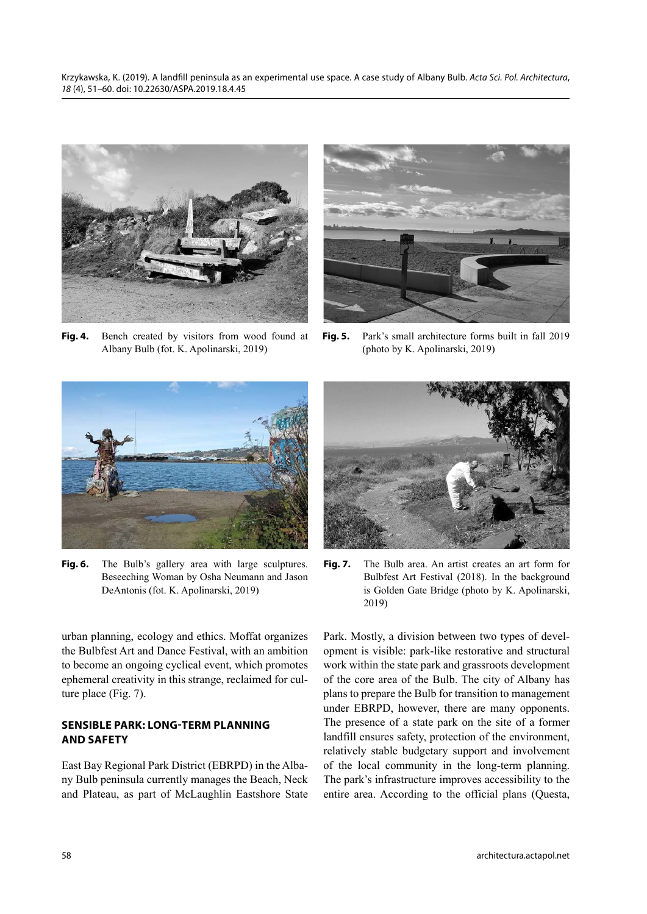Krzykawska, K. (2019). A landfill peninsula as an experimental use space. A case study of Albany Bulb. Acta Sci. Pol. Architectura, 18 (4), 51–60. doi: 10.22630/ASPA.2019.18.4.45



**Fig. 4.** Bench created by visitors from wood found at Albany Bulb (fot. K. Apolinarski, 2019)



**Fig. 5.** Park's small architecture forms built in fall 2019 (photo by K. Apolinarski, 2019)



Fig. 6. The Bulb's gallery area with large sculptures. Beseeching Woman by Osha Neumann and Jason DeAntonis (fot. K. Apolinarski, 2019)

urban planning, ecology and ethics. Moffat organizes the Bulbfest Art and Dance Festival, with an ambition to become an ongoing cyclical event, which promotes ephemeral creativity in this strange, reclaimed for culture place (Fig. 7).

## **SENSIBLE PARK: LONG-TERM PLANNING AND SAFETY**

East Bay Regional Park District (EBRPD) in the Albany Bulb peninsula currently manages the Beach, Neck and Plateau, as part of McLaughlin Eastshore State



**Fig. 7.** The Bulb area. An artist creates an art form for Bulbfest Art Festival (2018). In the background is Golden Gate Bridge (photo by K. Apolinarski, 2019)

Park. Mostly, a division between two types of development is visible: park-like restorative and structural work within the state park and grassroots development of the core area of the Bulb. The city of Albany has plans to prepare the Bulb for transition to management under EBRPD, however, there are many opponents. The presence of a state park on the site of a former landfill ensures safety, protection of the environment, relatively stable budgetary support and involvement of the local community in the long-term planning. The park's infrastructure improves accessibility to the entire area. According to the official plans (Questa,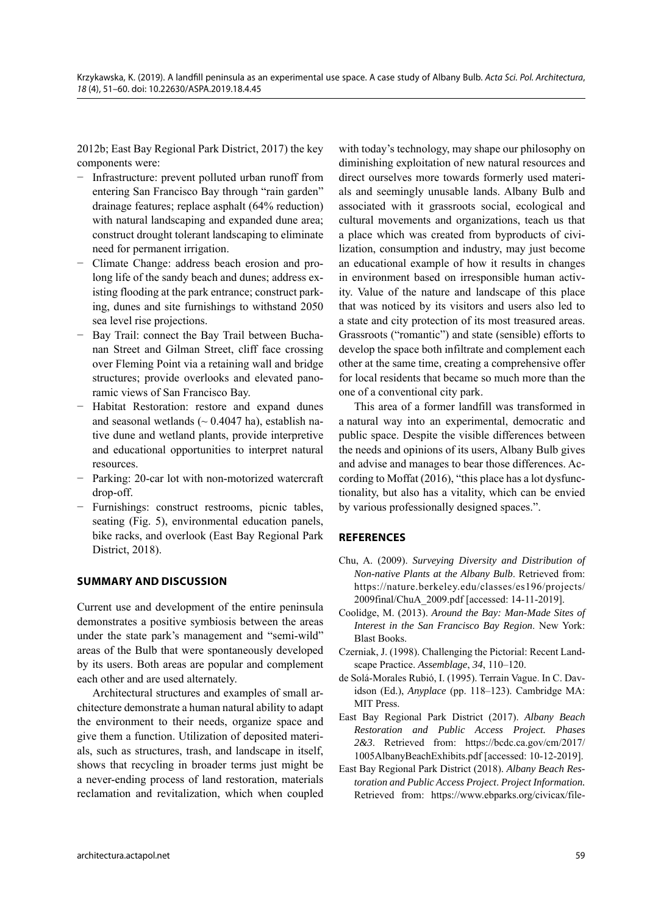2012b; East Bay Regional Park District, 2017) the key components were:

- − Infrastructure: prevent polluted urban runoff from entering San Francisco Bay through "rain garden" drainage features; replace asphalt (64% reduction) with natural landscaping and expanded dune area; construct drought tolerant landscaping to eliminate need for permanent irrigation.
- − Climate Change: address beach erosion and prolong life of the sandy beach and dunes; address existing flooding at the park entrance; construct parking, dunes and site furnishings to withstand 2050 sea level rise projections.
- Bay Trail: connect the Bay Trail between Buchanan Street and Gilman Street, cliff face crossing over Fleming Point via a retaining wall and bridge structures; provide overlooks and elevated panoramic views of San Francisco Bay.
- − Habitat Restoration: restore and expand dunes and seasonal wetlands  $($   $\sim$  0.4047 ha), establish native dune and wetland plants, provide interpretive and educational opportunities to interpret natural resources.
- − Parking: 20-car lot with non-motorized watercraft drop-off.
- Furnishings: construct restrooms, picnic tables, seating (Fig. 5), environmental education panels, bike racks, and overlook (East Bay Regional Park District, 2018).

## **SUMMARY AND DISCUSSION**

Current use and development of the entire peninsula demonstrates a positive symbiosis between the areas under the state park's management and "semi-wild" areas of the Bulb that were spontaneously developed by its users. Both areas are popular and complement each other and are used alternately.

Architectural structures and examples of small architecture demonstrate a human natural ability to adapt the environment to their needs, organize space and give them a function. Utilization of deposited materials, such as structures, trash, and landscape in itself, shows that recycling in broader terms just might be a never-ending process of land restoration, materials reclamation and revitalization, which when coupled with today's technology, may shape our philosophy on diminishing exploitation of new natural resources and direct ourselves more towards formerly used materials and seemingly unusable lands. Albany Bulb and associated with it grassroots social, ecological and cultural movements and organizations, teach us that a place which was created from byproducts of civilization, consumption and industry, may just become an educational example of how it results in changes in environment based on irresponsible human activity. Value of the nature and landscape of this place that was noticed by its visitors and users also led to a state and city protection of its most treasured areas. Grassroots ("romantic") and state (sensible) efforts to develop the space both infiltrate and complement each other at the same time, creating a comprehensive offer for local residents that became so much more than the one of a conventional city park.

This area of a former landfill was transformed in a natural way into an experimental, democratic and public space. Despite the visible differences between the needs and opinions of its users, Albany Bulb gives and advise and manages to bear those differences. According to Moffat (2016), "this place has a lot dysfunctionality, but also has a vitality, which can be envied by various professionally designed spaces.".

#### **REFERENCES**

- Chu, A. (2009). *Surveying Diversity and Distribution of Non-native Plants at the Albany Bulb*. Retrieved from: https://nature.berkeley.edu/classes/es196/projects/ 2009final/ChuA\_2009.pdf [accessed: 14-11-2019].
- Coolidge, M. (2013). *Around the Bay: Man-Made Sites of Interest in the San Francisco Bay Region*. New York: Blast Books.
- Czerniak, J. (1998). Challenging the Pictorial: Recent Landscape Practice. *Assemblage*, *34*, 110–120.
- de Solá-Morales Rubió, I. (1995). Terrain Vague. In C. Davidson (Ed.), *Anyplace* (pp. 118–123). Cambridge MA: MIT Press.
- East Bay Regional Park District (2017). *Albany Beach Restoration and Public Access Project. Phases 2&3*. Retrieved from: https://bcdc.ca.gov/cm/2017/ 1005AlbanyBeachExhibits.pdf [accessed: 10-12-2019].
- East Bay Regional Park District (2018). *Albany Beach Restoration and Public Access Project*. *Project Information.* Retrieved from: https://www.ebparks.org/civicax/file-